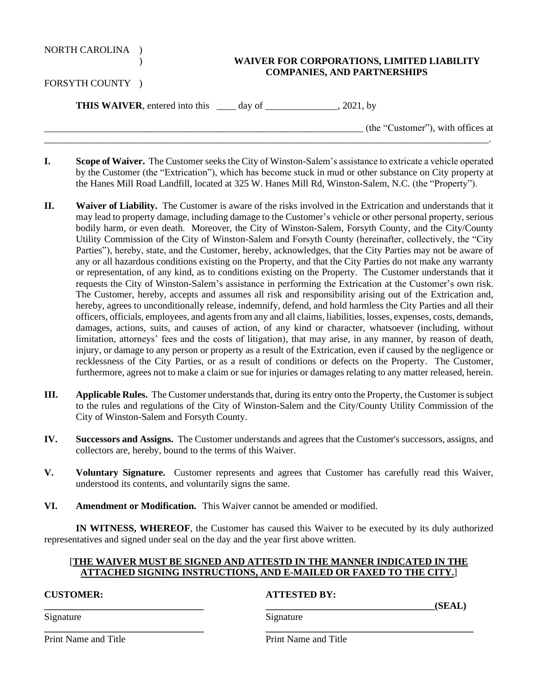| <b>NORTH CAROLINA</b> |  |
|-----------------------|--|
|-----------------------|--|

## ) **WAIVER FOR CORPORATIONS, LIMITED LIABILITY COMPANIES, AND PARTNERSHIPS**

FORSYTH COUNTY )

**THIS WAIVER**, entered into this \_\_\_\_ day of \_\_\_\_\_\_\_\_\_\_\_\_\_\_\_, 2021, by

 $($ the "Customer"), with offices at

**I. Scope of Waiver.** The Customer seeks the City of Winston-Salem's assistance to extricate a vehicle operated by the Customer (the "Extrication"), which has become stuck in mud or other substance on City property at the Hanes Mill Road Landfill, located at 325 W. Hanes Mill Rd, Winston-Salem, N.C. (the "Property").

\_\_\_\_\_\_\_\_\_\_\_\_\_\_\_\_\_\_\_\_\_\_\_\_\_\_\_\_\_\_\_\_\_\_\_\_\_\_\_\_\_\_\_\_\_\_\_\_\_\_\_\_\_\_\_\_\_\_\_\_\_\_\_\_\_\_\_\_\_\_\_\_\_\_\_\_\_\_\_\_\_\_\_\_\_\_\_\_\_\_\_\_.

- **II. Waiver of Liability.** The Customer is aware of the risks involved in the Extrication and understands that it may lead to property damage, including damage to the Customer's vehicle or other personal property, serious bodily harm, or even death. Moreover, the City of Winston-Salem, Forsyth County, and the City/County Utility Commission of the City of Winston-Salem and Forsyth County (hereinafter, collectively, the "City Parties"), hereby, state, and the Customer, hereby, acknowledges, that the City Parties may not be aware of any or all hazardous conditions existing on the Property, and that the City Parties do not make any warranty or representation, of any kind, as to conditions existing on the Property. The Customer understands that it requests the City of Winston-Salem's assistance in performing the Extrication at the Customer's own risk. The Customer, hereby, accepts and assumes all risk and responsibility arising out of the Extrication and, hereby, agrees to unconditionally release, indemnify, defend, and hold harmless the City Parties and all their officers, officials, employees, and agents from any and all claims, liabilities, losses, expenses, costs, demands, damages, actions, suits, and causes of action, of any kind or character, whatsoever (including, without limitation, attorneys' fees and the costs of litigation), that may arise, in any manner, by reason of death, injury, or damage to any person or property as a result of the Extrication, even if caused by the negligence or recklessness of the City Parties, or as a result of conditions or defects on the Property. The Customer, furthermore, agrees not to make a claim or sue for injuries or damages relating to any matter released, herein.
- **III. Applicable Rules.** The Customer understands that, during its entry onto the Property, the Customer is subject to the rules and regulations of the City of Winston-Salem and the City/County Utility Commission of the City of Winston-Salem and Forsyth County.
- **IV. Successors and Assigns.** The Customer understands and agrees that the Customer's successors, assigns, and collectors are, hereby, bound to the terms of this Waiver.
- **V. Voluntary Signature.** Customer represents and agrees that Customer has carefully read this Waiver, understood its contents, and voluntarily signs the same.
- **VI. Amendment or Modification.** This Waiver cannot be amended or modified.

**IN WITNESS, WHEREOF**, the Customer has caused this Waiver to be executed by its duly authorized representatives and signed under seal on the day and the year first above written.

## [**THE WAIVER MUST BE SIGNED AND ATTESTD IN THE MANNER INDICATED IN THE ATTACHED SIGNING INSTRUCTIONS, AND E-MAILED OR FAXED TO THE CITY.**]

**\_\_\_\_\_\_\_\_\_\_\_\_\_\_\_\_\_\_\_\_\_\_\_\_\_\_\_\_\_\_\_\_\_ \_\_\_\_\_\_\_\_\_\_\_\_\_\_\_\_\_\_\_\_\_\_\_\_\_\_\_\_\_\_\_\_\_\_\_\_\_\_\_\_\_\_\_**

## **CUSTOMER: ATTESTED BY:**

 $(SEAL)$ 

Signature Signature Signature

Print Name and Title Print Name and Title